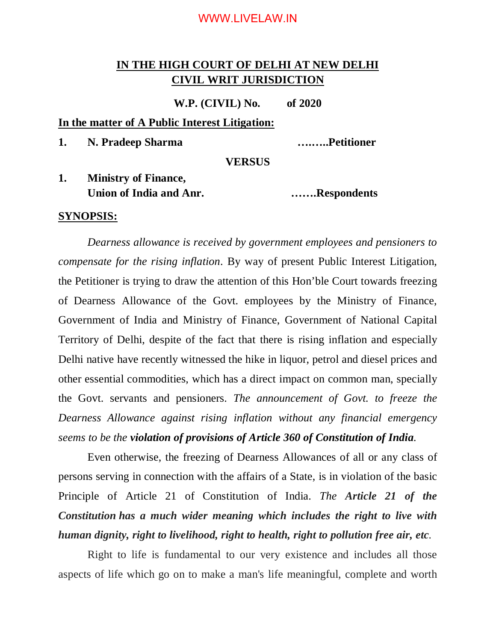### WWW.LIVELAW.IN

# **IN THE HIGH COURT OF DELHI AT NEW DELHI CIVIL WRIT JURISDICTION**

**W.P. (CIVIL) No. of 2020**

#### **In the matter of A Public Interest Litigation:**

**1. N. Pradeep Sharma ….…..Petitioner**

#### **VERSUS**

**1. Ministry of Finance, Union of India and Anr. …….Respondents**

### **SYNOPSIS:**

*Dearness allowance is received by government employees and pensioners to compensate for the rising inflation*. By way of present Public Interest Litigation, the Petitioner is trying to draw the attention of this Hon'ble Court towards freezing of Dearness Allowance of the Govt. employees by the Ministry of Finance, Government of India and Ministry of Finance, Government of National Capital Territory of Delhi, despite of the fact that there is rising inflation and especially Delhi native have recently witnessed the hike in liquor, petrol and diesel prices and other essential commodities, which has a direct impact on common man, specially the Govt. servants and pensioners. *The announcement of Govt. to freeze the Dearness Allowance against rising inflation without any financial emergency seems to be the violation of provisions of Article 360 of Constitution of India.*

Even otherwise, the freezing of Dearness Allowances of all or any class of persons serving in connection with the affairs of a State, is in violation of the basic Principle of Article 21 of Constitution of India. *The Article 21 of the Constitution has a much wider meaning which includes the right to live with human dignity, right to livelihood, right to health, right to pollution free air, etc.*

Right to life is fundamental to our very existence and includes all those aspects of life which go on to make a man's life meaningful, complete and worth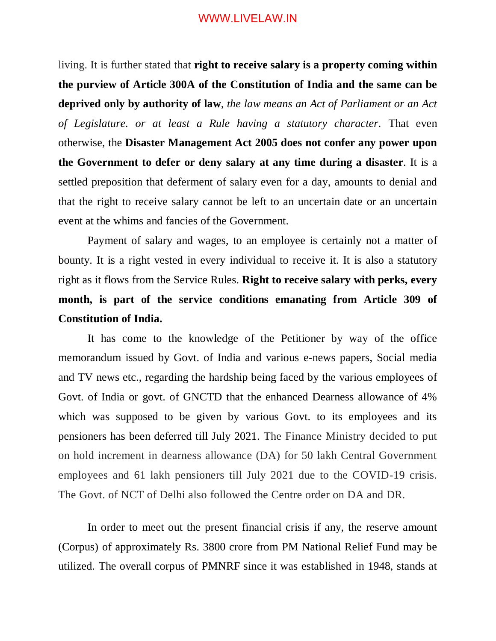### WWW.LIVELAW.IN

living. It is further stated that **right to receive salary is a property coming within the purview of Article 300A of the Constitution of India and the same can be deprived only by authority of law**, *the law means an Act of Parliament or an Act of Legislature. or at least a Rule having a statutory character.* That even otherwise, the **Disaster Management Act 2005 does not confer any power upon the Government to defer or deny salary at any time during a disaster**. It is a settled preposition that deferment of salary even for a day, amounts to denial and that the right to receive salary cannot be left to an uncertain date or an uncertain event at the whims and fancies of the Government.

Payment of salary and wages, to an employee is certainly not a matter of bounty. It is a right vested in every individual to receive it. It is also a statutory right as it flows from the Service Rules. **Right to receive salary with perks, every month, is part of the service conditions emanating from Article 309 of Constitution of India.**

It has come to the knowledge of the Petitioner by way of the office memorandum issued by Govt. of India and various e-news papers, Social media and TV news etc., regarding the hardship being faced by the various employees of Govt. of India or govt. of GNCTD that the enhanced Dearness allowance of 4% which was supposed to be given by various Govt. to its employees and its pensioners has been deferred till July 2021. The Finance Ministry decided to put on hold increment in dearness allowance (DA) for 50 lakh Central Government employees and 61 lakh pensioners till July 2021 due to the COVID-19 crisis. The Govt. of NCT of Delhi also followed the Centre order on DA and DR.

In order to meet out the present financial crisis if any, the reserve amount (Corpus) of approximately Rs. 3800 crore from PM National Relief Fund may be utilized. The overall corpus of PMNRF since it was established in 1948, stands at